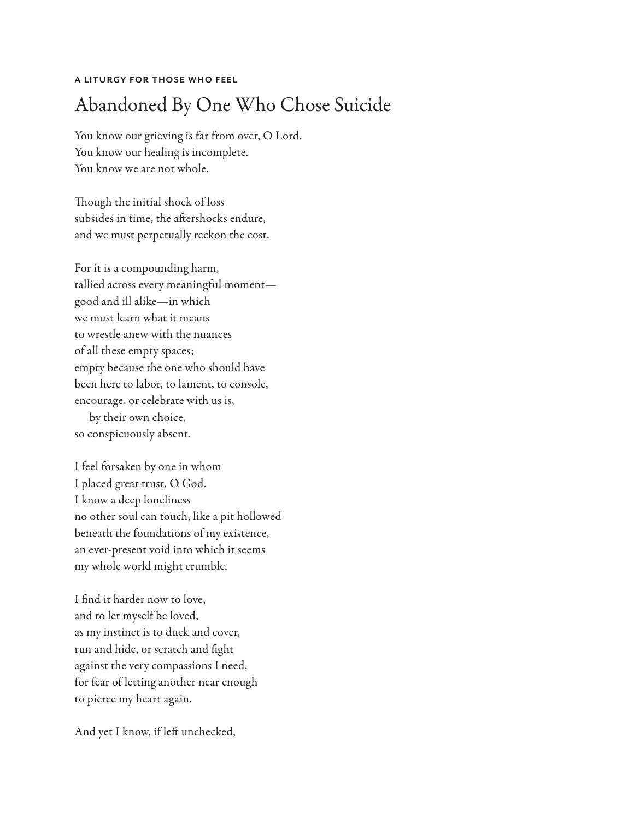## **A LITURGY FOR THOSE WHO FEEL**

## Abandoned By One Who Chose Suicide

You know our grieving is far from over, O Lord. You know our healing is incomplete. You know we are not whole.

Though the initial shock of loss subsides in time, the aftershocks endure, and we must perpetually reckon the cost.

For it is a compounding harm, tallied across every meaningful moment good and ill alike—in which we must learn what it means to wrestle anew with the nuances of all these empty spaces; empty because the one who should have been here to labor, to lament, to console, encourage, or celebrate with us is,

by their own choice, so conspicuously absent.

I feel forsaken by one in whom I placed great trust, O God. I know a deep loneliness no other soul can touch, like a pit hollowed beneath the foundations of my existence, an ever-present void into which it seems my whole world might crumble.

I find it harder now to love, and to let myself be loved, as my instinct is to duck and cover, run and hide, or scratch and fight against the very compassions I need, for fear of letting another near enough to pierce my heart again.

And yet I know, if left unchecked,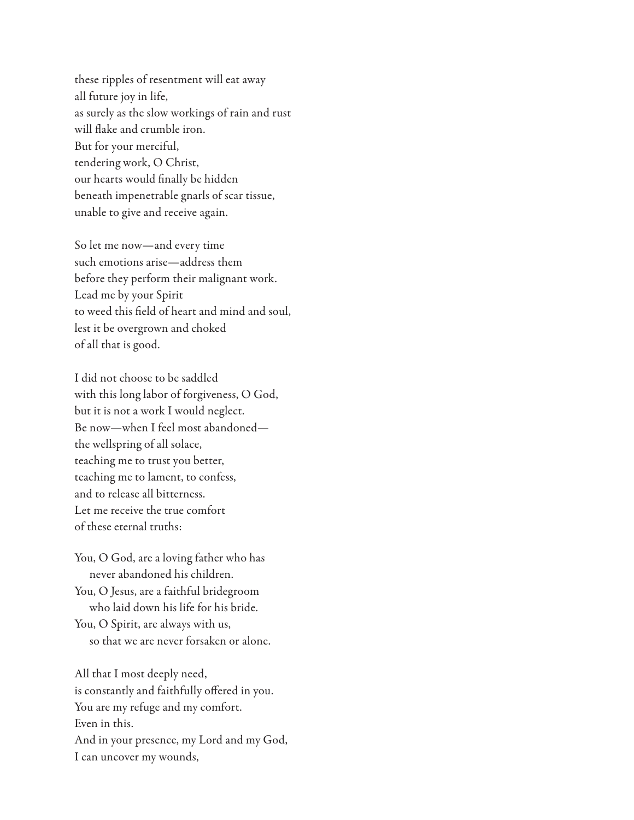these ripples of resentment will eat away all future joy in life, as surely as the slow workings of rain and rust will flake and crumble iron. But for your merciful, tendering work, O Christ, our hearts would finally be hidden beneath impenetrable gnarls of scar tissue, unable to give and receive again.

So let me now—and every time such emotions arise—address them before they perform their malignant work. Lead me by your Spirit to weed this field of heart and mind and soul, lest it be overgrown and choked of all that is good.

I did not choose to be saddled with this long labor of forgiveness, O God, but it is not a work I would neglect. Be now—when I feel most abandoned the wellspring of all solace, teaching me to trust you better, teaching me to lament, to confess, and to release all bitterness. Let me receive the true comfort of these eternal truths:

You, O God, are a loving father who has never abandoned his children. You, O Jesus, are a faithful bridegroom who laid down his life for his bride. You, O Spirit, are always with us, so that we are never forsaken or alone.

All that I most deeply need, is constantly and faithfully offered in you. You are my refuge and my comfort. Even in this. And in your presence, my Lord and my God, I can uncover my wounds,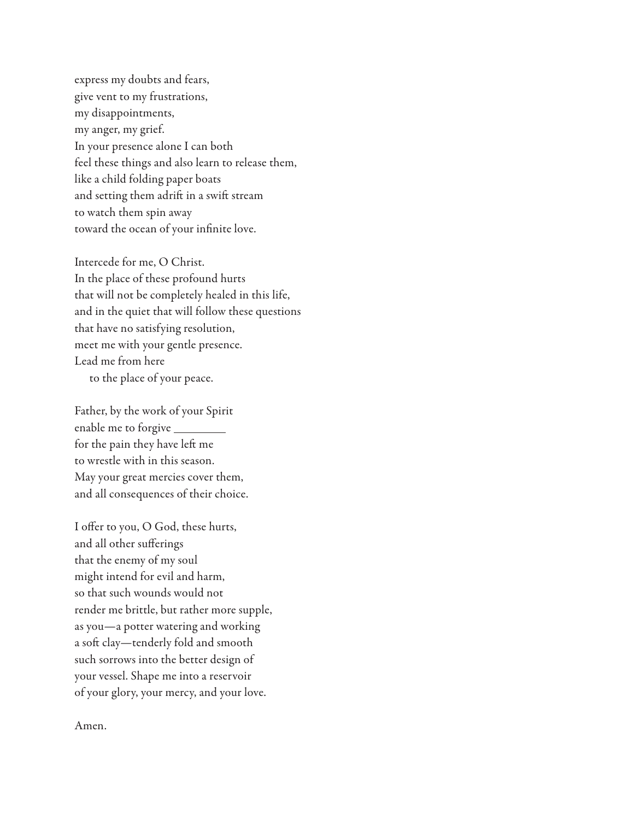express my doubts and fears, give vent to my frustrations, my disappointments, my anger, my grief. In your presence alone I can both feel these things and also learn to release them, like a child folding paper boats and setting them adrift in a swift stream to watch them spin away toward the ocean of your infinite love.

Intercede for me, O Christ. In the place of these profound hurts that will not be completely healed in this life, and in the quiet that will follow these questions that have no satisfying resolution, meet me with your gentle presence. Lead me from here to the place of your peace.

Father, by the work of your Spirit enable me to forgive for the pain they have left me to wrestle with in this season. May your great mercies cover them, and all consequences of their choice.

I offer to you, O God, these hurts, and all other sufferings that the enemy of my soul might intend for evil and harm, so that such wounds would not render me brittle, but rather more supple, as you—a potter watering and working a soft clay—tenderly fold and smooth such sorrows into the better design of your vessel. Shape me into a reservoir of your glory, your mercy, and your love.

Amen.